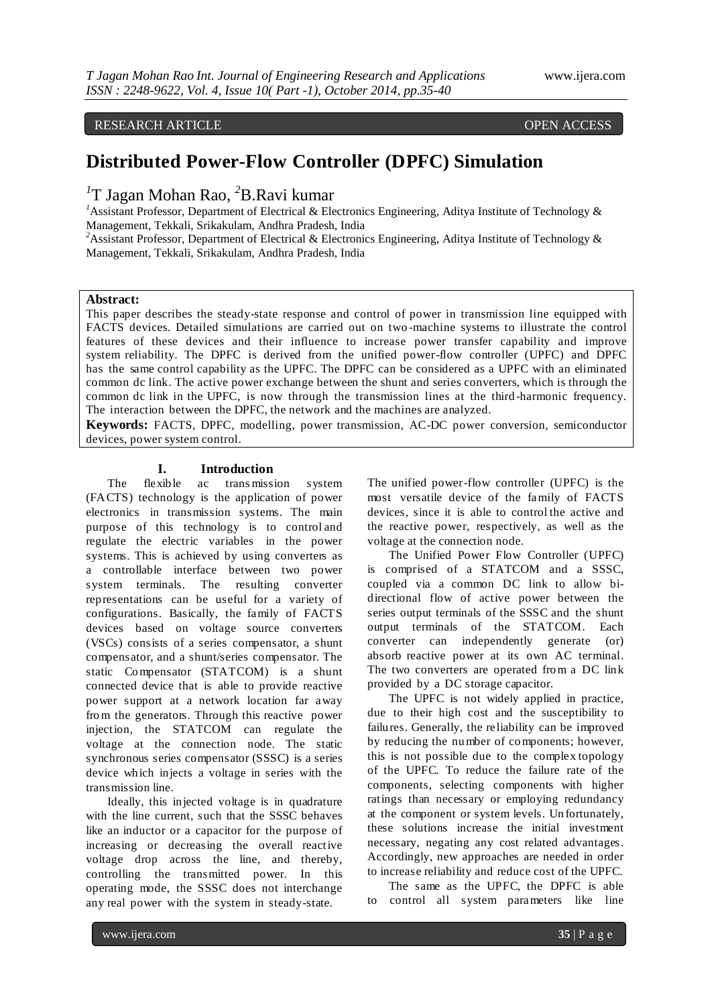# RESEARCH ARTICLE OPEN ACCESS

# **Distributed Power-Flow Controller (DPFC) Simulation**

*1* T Jagan Mohan Rao, *<sup>2</sup>*B.Ravi kumar

<sup>1</sup>Assistant Professor, Department of Electrical & Electronics Engineering, Aditya Institute of Technology & Management, Tekkali, Srikakulam, Andhra Pradesh, India

<sup>2</sup>Assistant Professor, Department of Electrical & Electronics Engineering, Aditya Institute of Technology & Management, Tekkali, Srikakulam, Andhra Pradesh, India

# **Abstract:**

This paper describes the steady-state response and control of power in transmission line equipped with FACTS devices. Detailed simulations are carried out on two -machine systems to illustrate the control features of these devices and their influence to increase power transfer capability and improve system reliability. The DPFC is derived from the unified power-flow controller (UPFC) and DPFC has the same control capability as the UPFC. The DPFC can be considered as a UPFC with an eliminated common dc link. The active power exchange between the shunt and series converters, which is through the common dc link in the UPFC, is now through the transmission lines at the third -harmonic frequency. The interaction between the DPFC, the network and the machines are analyzed.

**Keywords:** FACTS, DPFC, modelling, power transmission, AC-DC power conversion, semiconductor devices, power system control.

# **I. Introduction**<br>flexible ac transmiss

The flexible ac trans mission system (FACTS) technology is the application of power electronics in transmission systems. The main purpose of this technology is to control and regulate the electric variables in the power systems. This is achieved by using converters as a controllable interface between two power system terminals. The resulting converter representations can be useful for a variety of configurations. Basically, the family of FACTS devices based on voltage source converters (VSCs) consists of a series compensator, a shunt compensator, and a shunt/series compensator. The static Compensator (STATCOM) is a shunt connected device that is able to provide reactive power support at a network location far away from the generators. Through this reactive power injection, the STATCOM can regulate the voltage at the connection node. The static synchronous series compensator (SSSC) is a series device which injects a voltage in series with the transmission line.

Ideally, this injected voltage is in quadrature with the line current, such that the SSSC behaves like an inductor or a capacitor for the purpose of increasing or decreasing the overall reactive voltage drop across the line, and thereby, controlling the transmitted power. In this operating mode, the SSSC does not interchange any real power with the system in steady-state.

The unified power-flow controller (UPFC) is the most versatile device of the family of FACTS devices, since it is able to control the active and the reactive power, respectively, as well as the voltage at the connection node.

The Unified Power Flow Controller (UPFC) is comprised of a STATCOM and a SSSC, coupled via a common DC link to allow bidirectional flow of active power between the series output terminals of the SSSC and the shunt output terminals of the STATCOM. Each converter can independently generate (or) absorb reactive power at its own AC terminal. The two converters are operated from a DC link provided by a DC storage capacitor.

The UPFC is not widely applied in practice, due to their high cost and the susceptibility to failures. Generally, the reliability can be improved by reducing the number of components; however, this is not possible due to the complex topology of the UPFC. To reduce the failure rate of the components, selecting components with higher ratings than necessary or employing redundancy at the component or system levels. Un fortunately, these solutions increase the initial investment necessary, negating any cost related advantages. Accordingly, new approaches are needed in order to increase reliability and reduce cost of the UPFC.

The same as the UPFC, the DPFC is able to control all system parameters like line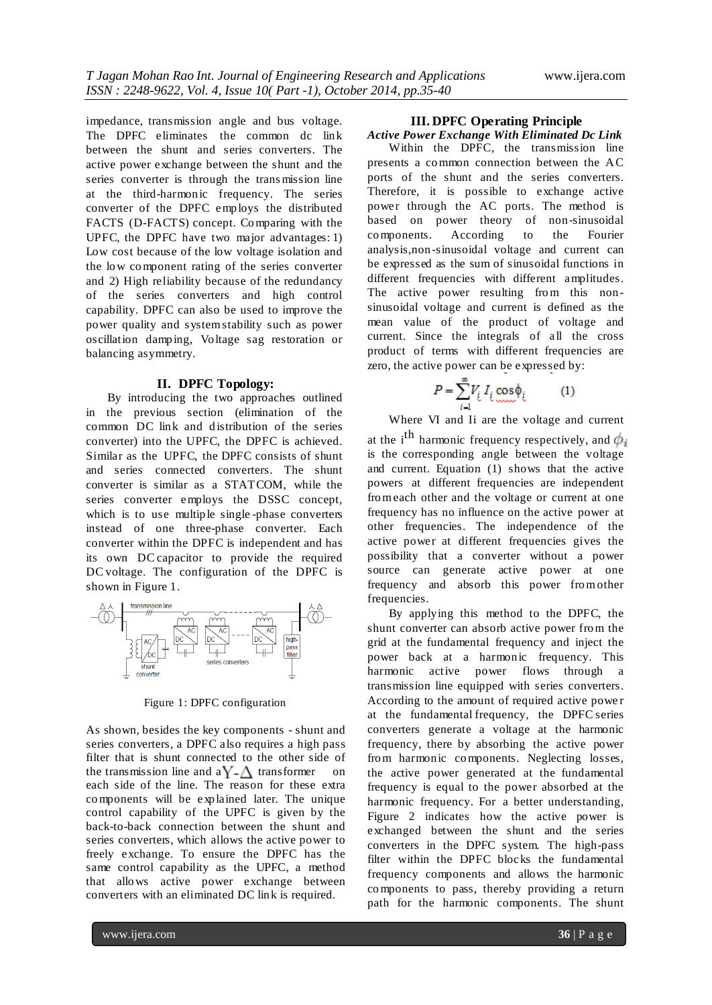impedance, transmission angle and bus voltage. The DPFC eliminates the common dc link between the shunt and series converters. The active power exchange between the shunt and the series converter is through the transmission line at the third-harmonic frequency. The series converter of the DPFC employs the distributed FACTS (D-FACTS) concept. Comparing with the UPFC, the DPFC have two major advantages: 1) Low cost because of the low voltage isolation and the low component rating of the series converter and 2) High reliability because of the redundancy of the series converters and high control capability. DPFC can also be used to improve the power quality and systemstability such as power oscillation damp ing, Voltage sag restoration or balancing asymmetry.

### **II. DPFC Topology:**

By introducing the two approaches outlined in the previous section (elimination of the common DC link and d istribution of the series converter) into the UPFC, the DPFC is achieved. Similar as the UPFC, the DPFC consists of shunt and series connected converters. The shunt converter is similar as a STATCOM, while the series converter employs the DSSC concept, which is to use multiple single-phase converters instead of one three-phase converter. Each converter within the DPFC is independent and has its own DC capacitor to provide the required DC voltage. The configuration of the DPFC is shown in Figure 1.



Figure 1: DPFC configuration

As shown, besides the key components - shunt and series converters, a DPFC also requires a high pass filter that is shunt connected to the other side of the transmission line and  $aY - \Delta$  transformer on each side of the line. The reason for these extra components will be explained later. The unique control capability of the UPFC is given by the back-to-back connection between the shunt and series converters, which allows the active power to freely exchange. To ensure the DPFC has the same control capability as the UPFC, a method that allows active power exchange between converters with an eliminated DC link is required.

# **III. DPFC Operating Principle**

*Active Power Exchange With Eliminated Dc Link* Within the DPFC, the transmission line presents a common connection between the AC ports of the shunt and the series converters. Therefore, it is possible to exchange active power through the AC ports. The method is based on power theory of non-sinusoidal components. According to the Fourier analysis,non -sinusoidal voltage and current can be expressed as the sum of sinusoidal functions in different frequencies with different amplitudes. The active power resulting from this nonsinusoidal voltage and current is defined as the mean value of the product of voltage and current. Since the integrals of all the cross product of terms with different frequencies are zero, the active power can be expressed by:

$$
P = \sum_{i=1}^{\infty} V_i I_i \cos \phi_i \tag{1}
$$

Where VI and Ii are the voltage and current

at the i<sup>th</sup> harmonic frequency respectively, and is the corresponding angle between the voltage and current. Equation (1) shows that the active powers at different frequencies are independent fromeach other and the voltage or current at one frequency has no influence on the active power at other frequencies. The independence of the active power at different frequencies gives the possibility that a converter without a power source can generate active power at one frequency and absorb this power fromother frequencies.

By applying this method to the DPFC, the shunt converter can absorb active power from the grid at the fundamental frequency and inject the power back at a harmonic frequency. This harmonic active power flows through a transmission line equipped with series converters. According to the amount of required active powe r at the fundamental frequency, the DPFC series converters generate a voltage at the harmonic frequency, there by absorbing the active power from harmonic components. Neglecting losses, the active power generated at the fundamental frequency is equal to the power absorbed at the harmonic frequency. For a better understanding, Figure 2 indicates how the active power is exchanged between the shunt and the series converters in the DPFC system. The high-pass filter within the DPFC blocks the fundamental frequency components and allows the harmonic components to pass, thereby providing a return path for the harmonic components. The shunt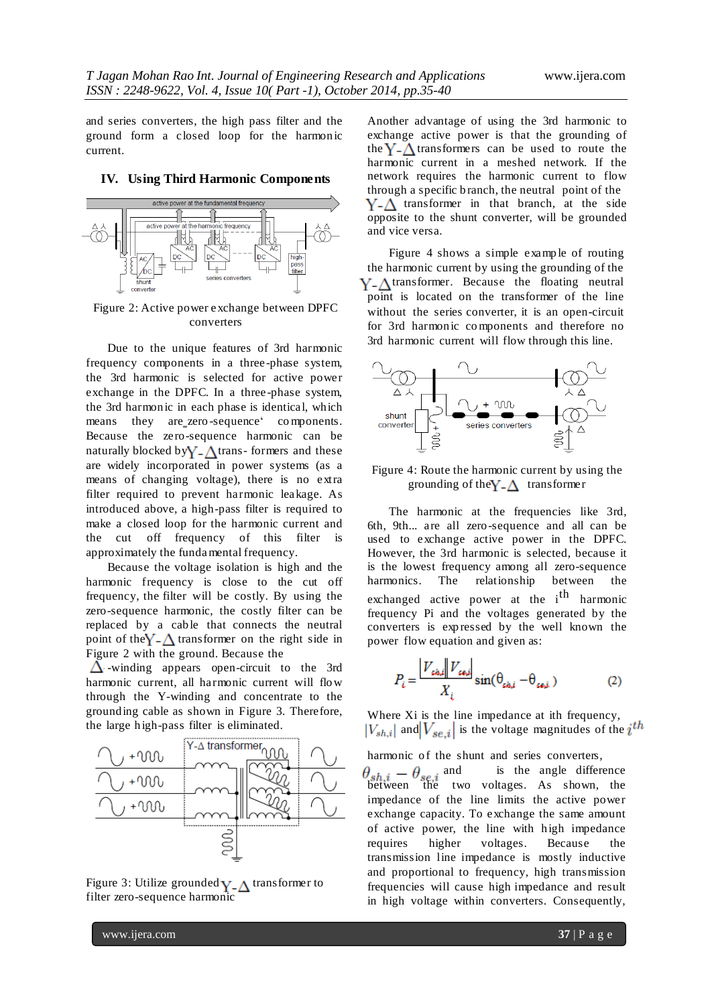and series converters, the high pass filter and the ground form a closed loop for the harmonic current.

#### **IV. Using Third Harmonic Components**



Figure 2: Active power exchange between DPFC converters

Due to the unique features of 3rd harmonic frequency components in a three -phase system, the 3rd harmonic is selected for active power exchange in the DPFC. In a three-phase system, the 3rd harmonic in each phase is identical, which means they are zero-sequence' components. Because the zero-sequence harmonic can be naturally blocked by  $Y_{-}\Delta$  trans- formers and these are widely incorporated in power systems (as a means of changing voltage), there is no extra filter required to prevent harmonic leakage. As introduced above, a high-pass filter is required to make a closed loop for the harmonic current and the cut off frequency of this filter is approximately the fundamental frequency.

Because the voltage isolation is high and the harmonic frequency is close to the cut off frequency, the filter will be costly. By using the zero-sequence harmonic, the costly filter can be replaced by a cable that connects the neutral point of the  $Y - \Delta$  transformer on the right side in Figure 2 with the ground. Because the

 $\Delta$ -winding appears open-circuit to the 3rd harmonic current, all harmonic current will flow through the Y-winding and concentrate to the grounding cable as shown in Figure 3. Therefore, the large h igh-pass filter is eliminated.



Figure 3: Utilize grounded  $Y_{\text{-}}\Delta$  transformer to filter zero-sequence harmonic

Another advantage of using the 3rd harmonic to exchange active power is that the grounding of the  $Y - \Lambda$  transformers can be used to route the harmonic current in a meshed network. If the network requires the harmonic current to flow through a specific b ranch, the neutral point of the  $Y - \Delta$  transformer in that branch, at the side opposite to the shunt converter, will be grounded and vice versa.

Figure 4 shows a simple example of routing the harmonic current by using the grounding of the  $Y - \Lambda$  transformer. Because the floating neutral point is located on the transformer of the line without the series converter, it is an open-circuit for 3rd harmon ic components and therefore no 3rd harmonic current will flow through this line.



Figure 4: Route the harmonic current by using the grounding of the  $Y_{\text{-}}\Delta$  transformer

The harmonic at the frequencies like 3rd, 6th, 9th... are all zero-sequence and all can be used to exchange active power in the DPFC. However, the 3rd harmonic is selected, because it is the lowest frequency among all zero-sequence harmonics. The relationship between the exchanged active power at the i<sup>th</sup> harmonic frequency Pi and the voltages generated by the converters is exp ressed by the well known the power flow equation and given as:

$$
P_{i} = \frac{|V_{\text{si},i}| |V_{\text{si},i}|}{X_{i}} \sin(\theta_{\text{si},i} - \theta_{\text{si},i})
$$
 (2)

Where Xi is the line impedance at ith frequency,  $|V_{sh,i}|$  and  $|V_{se,i}|$  is the voltage magnitudes of the  $i^{th}$ 

harmonic of the shunt and series converters,  $\theta_{ab} = \theta_{ac}$  and is the angle difference between the two voltages. As shown, the impedance of the line limits the active power exchange capacity. To exchange the same amount of active power, the line with high impedance requires higher voltages. Because the transmission line impedance is mostly inductive and proportional to frequency, high transmission frequencies will cause high impedance and result in high voltage within converters. Consequently,

www.ijera.com **37** | P a g e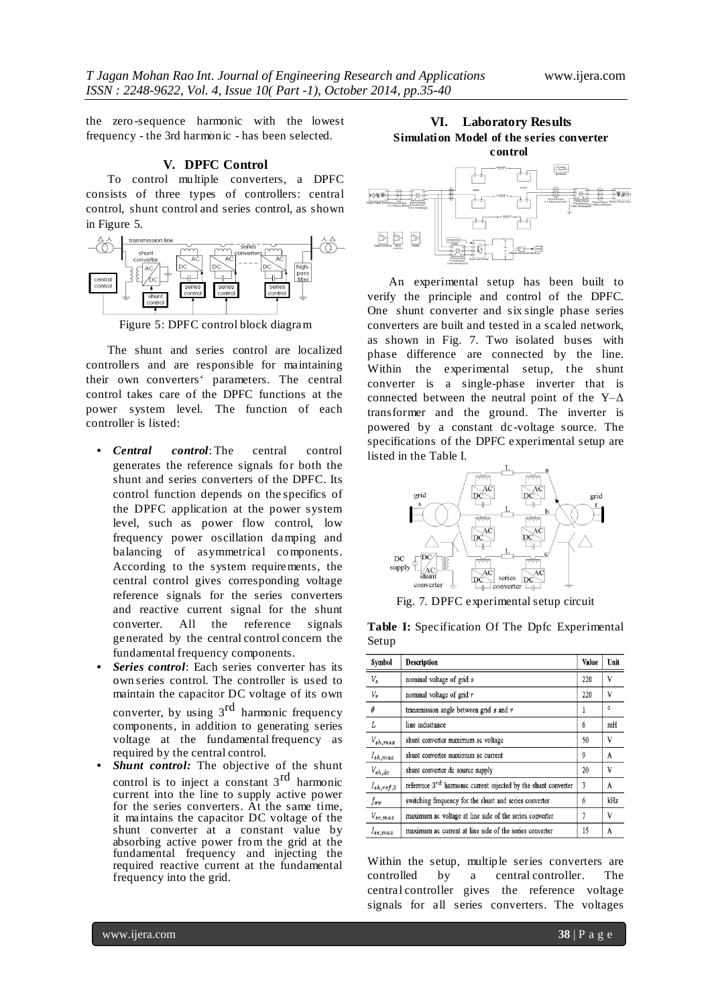the zero -sequence harmonic with the lowest frequency - the 3rd harmon ic - has been selected.

# **V. DPFC Control**

To control multiple converters, a DPFC consists of three types of controllers: central control, shunt control and series control, as shown in Figure 5.



Figure 5: DPFC control block diagram

The shunt and series control are localized controllers and are responsible for maintaining their own converters' parameters. The central control takes care of the DPFC functions at the power system level. The function of each controller is listed:

- *• Central control*: The central control generates the reference signals for both the shunt and series converters of the DPFC. Its control function depends on the specifics of the DPFC application at the power system level, such as power flow control, low frequency power oscillation damping and balancing of asymmetrical components. According to the system requirements, the central control gives corresponding voltage reference signals for the series converters and reactive current signal for the shunt converter. All the reference signals ge nerated by the central control concern the fundamental frequency components.
- *• Series control*: Each series converter has its own series control. The controller is used to maintain the capacitor DC voltage of its own converter, by using 3<sup>rd</sup> harmonic frequency components, in addition to generating series voltage at the fundamental frequency as required by the central control.
- *Shunt control:* The objective of the shunt control is to inject a constant  $3^{rd}$  harmonic current into the line to supply active power for the series converters. At the same time, it maintains the capacitor DC voltage of the shunt converter at a constant value by absorbing active power from the grid at the fundamental frequency and injecting the required reactive current at the fundamental frequency into the grid.

**VI. Laboratory Results Simulation Model of the series converter control**



An experimental setup has been built to verify the principle and control of the DPFC. One shunt converter and six single phase series converters are built and tested in a scaled network, as shown in Fig. 7. Two isolated buses with phase difference are connected by the line. Within the experimental setup, the shunt converter is a single-phase inverter that is connected between the neutral point of the  $Y-\Delta$ transformer and the ground. The inverter is powered by a constant dc-voltage source. The specifications of the DPFC experimental setup are listed in the Table I.



Fig. 7. DPFC experimentalsetup circuit

**Table I:** Specification Of The Dpfc Experimental Setup

| Symbol          | <b>Description</b>                                                  | Value | Unit    |
|-----------------|---------------------------------------------------------------------|-------|---------|
| $\mathcal{V}_s$ | nominal voltage of grid s                                           | 220   | V       |
| ${\cal V}_r$    | nominal voltage of grid $r$                                         | 220   | V       |
| $\theta$        | transmission angle between grid $s$ and $r$                         |       | $\circ$ |
| L               | line inductance                                                     | 6     | mH      |
| $V_{sh,max}$    | shunt converter maximum ac voltage                                  | 50    | V       |
| $I_{sh,max}$    | shunt converter maximum ac current                                  | 9     | A       |
| $V_{sh,dc}$     | shunt converter dc source supply                                    | 20    | V       |
| $I_{sh,ref,3}$  | reference $3^{rd}$ harmonic current injected by the shunt converter | 3     | A       |
| $f_{sw}$        | switching frequency for the shunt and series converter              | 6     | kHz     |
| $V_{se,max}$    | maximum ac voltage at line side of the series converter             | 7     | V       |
| $I_{se,max}$    | maximum ac current at line side of the series converter             | 15    | A       |

Within the setup, multiple series converters are controlled by a central controller. The central controller gives the reference voltage signals for all series converters. The voltages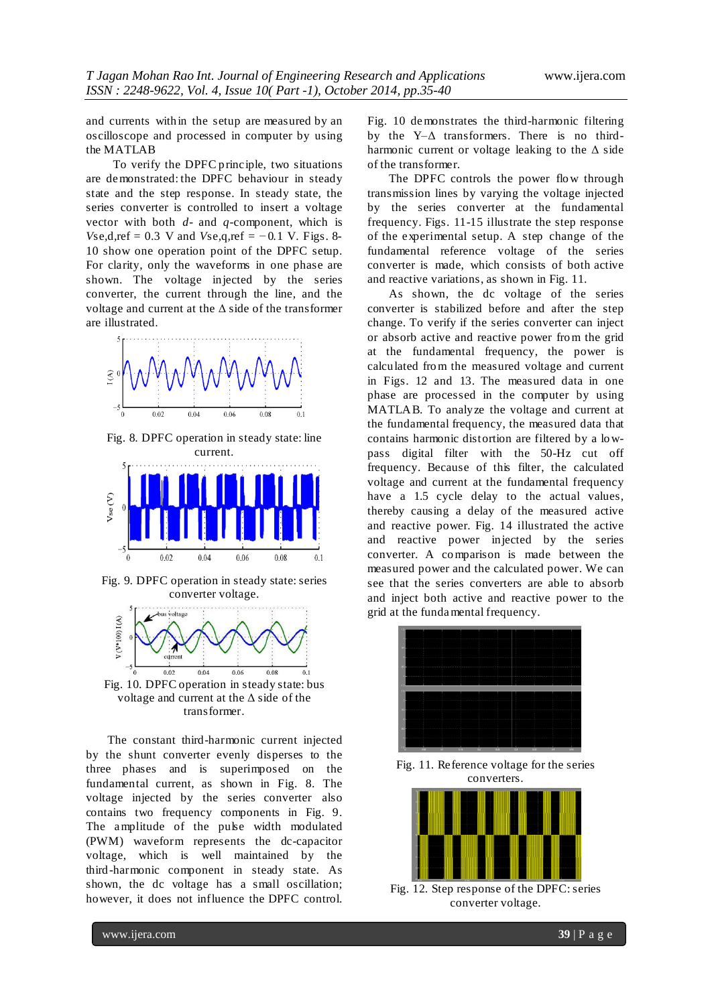and currents with in the setup are measured by an oscilloscope and processed in computer by using the MATLAB

To verify the DPFC p rinciple, two situations are demonstrated: the DPFC behaviour in steady state and the step response. In steady state, the series converter is controlled to insert a voltage vector with both *d*- and *q*-component, which is *V*se*,*d*,*ref = 0*.*3 V and *V*se*,*q*,*ref = *−*0*.*1 V. Figs. 8- 10 show one operation point of the DPFC setup. For clarity, only the waveforms in one phase are shown. The voltage injected by the series converter, the current through the line, and the voltage and current at the Δ side of the transformer are illustrated.



Fig. 8. DPFC operation in steady state: line current.



Fig. 9. DPFC operation in steady state: series converter voltage.



voltage and current at the Δ side of the transformer.

The constant third-harmonic current injected by the shunt converter evenly disperses to the three phases and is superimposed on the fundamental current, as shown in Fig. 8. The voltage injected by the series converter also contains two frequency components in Fig. 9. The amplitude of the pulse width modulated (PWM) waveform represents the dc-capacitor voltage, which is well maintained by the third -harmonic component in steady state. As shown, the dc voltage has a small oscillation; however, it does not influence the DPFC control.

Fig. 10 demonstrates the third-harmonic filtering by the Y–Δ transformers. There is no thirdharmonic current or voltage leaking to the  $\Delta$  side of the transformer.

The DPFC controls the power flow through transmission lines by varying the voltage injected by the series converter at the fundamental frequency. Figs. 11-15 illustrate the step response of the experimental setup. A step change of the fundamental reference voltage of the series converter is made, which consists of both active and reactive variations, as shown in Fig. 11.

As shown, the dc voltage of the series converter is stabilized before and after the step change. To verify if the series converter can inject or absorb active and reactive power from the grid at the fundamental frequency, the power is calculated from the measured voltage and current in Figs. 12 and 13. The measured data in one phase are processed in the computer by using MATLAB. To analyze the voltage and current at the fundamental frequency, the measured data that contains harmonic distortion are filtered by a lowpass digital filter with the 50-Hz cut off frequency. Because of this filter, the calculated voltage and current at the fundamental frequency have a 1.5 cycle delay to the actual values, thereby causing a delay of the measured active and reactive power. Fig. 14 illustrated the active and reactive power injected by the series converter. A comparison is made between the measured power and the calculated power. We can see that the series converters are able to absorb and inject both active and reactive power to the grid at the fundamental frequency.



Fig. 11. Reference voltage for the series converters.



Fig. 12. Step response of the DPFC: series converter voltage.